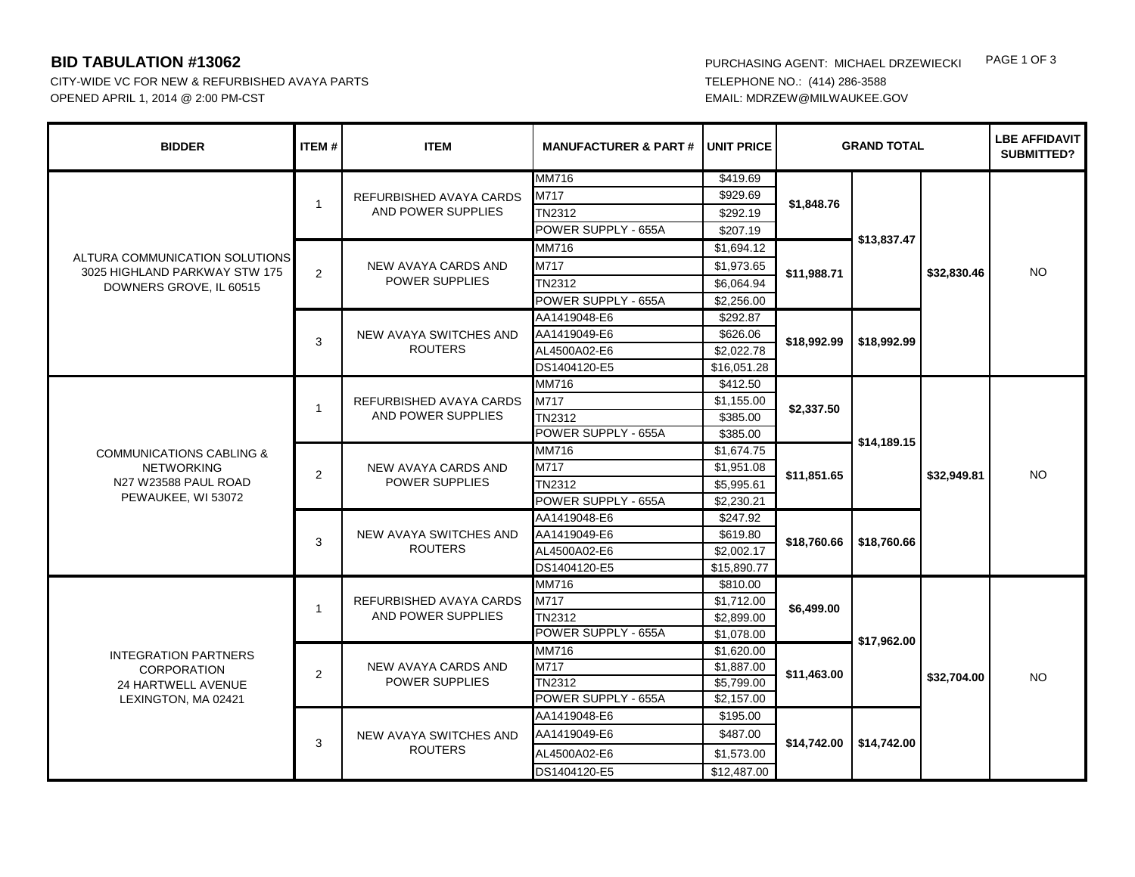CITY-WIDE VC FOR NEW & REFURBISHED AVAYA PARTS **TELEPHONE NO.: (414)** 286-3588 OPENED APRIL 1, 2014 @ 2:00 PM-CST EMAIL: MDRZEW@MILWAUKEE.GOV

**BID TABULATION #13062** PURCHASING AGENT: MICHAEL DRZEWIECKI PAGE 1 OF 3

| <b>BIDDER</b>                                                                                  | <b>ITEM#</b> | <b>ITEM</b>                                         | <b>MANUFACTURER &amp; PART#</b> | <b>UNIT PRICE</b> | <b>GRAND TOTAL</b>        |                            |             | <b>LBE AFFIDAVIT</b><br><b>SUBMITTED?</b> |
|------------------------------------------------------------------------------------------------|--------------|-----------------------------------------------------|---------------------------------|-------------------|---------------------------|----------------------------|-------------|-------------------------------------------|
| ALTURA COMMUNICATION SOLUTIONS<br>3025 HIGHLAND PARKWAY STW 175<br>DOWNERS GROVE, IL 60515     | $\mathbf{1}$ | REFURBISHED AVAYA CARDS<br>AND POWER SUPPLIES       | <b>MM716</b>                    | \$419.69          | \$1,848.76                | \$13,837.47                | \$32,830.46 |                                           |
|                                                                                                |              |                                                     | M717                            | \$929.69          |                           |                            |             |                                           |
|                                                                                                |              |                                                     | TN2312                          | \$292.19          |                           |                            |             | <b>NO</b>                                 |
|                                                                                                |              |                                                     | POWER SUPPLY - 655A             | \$207.19          |                           |                            |             |                                           |
|                                                                                                | 2            | NEW AVAYA CARDS AND<br>POWER SUPPLIES               | <b>MM716</b>                    | \$1,694.12        | \$11,988.71               |                            |             |                                           |
|                                                                                                |              |                                                     | M717                            | \$1,973.65        |                           |                            |             |                                           |
|                                                                                                |              |                                                     | TN2312                          | \$6,064.94        |                           |                            |             |                                           |
|                                                                                                |              |                                                     | POWER SUPPLY - 655A             | \$2,256.00        |                           |                            |             |                                           |
|                                                                                                | 3            | NEW AVAYA SWITCHES AND<br><b>ROUTERS</b>            | AA1419048-E6                    | 3292.87           | \$18,992.99               | \$18,992.99                |             |                                           |
|                                                                                                |              |                                                     | AA1419049-E6                    | \$626.06          |                           |                            |             |                                           |
|                                                                                                |              |                                                     | AL4500A02-E6                    | \$2,022.78        |                           |                            |             |                                           |
|                                                                                                |              |                                                     | DS1404120-E5                    | \$16,051.28       |                           |                            |             |                                           |
|                                                                                                | $\mathbf{1}$ | REFURBISHED AVAYA CARDS<br>AND POWER SUPPLIES       | <b>MM716</b>                    | \$412.50          | \$2,337.50                | \$14,189.15<br>\$18,760.66 | \$32,949.81 | <b>NO</b>                                 |
| <b>COMMUNICATIONS CABLING &amp;</b>                                                            |              |                                                     | M717                            | \$1,155.00        |                           |                            |             |                                           |
|                                                                                                |              |                                                     | TN2312                          | \$385.00          |                           |                            |             |                                           |
|                                                                                                |              |                                                     | POWER SUPPLY - 655A             | \$385.00          |                           |                            |             |                                           |
|                                                                                                | 2            | <b>NEW AVAYA CARDS AND</b><br><b>POWER SUPPLIES</b> | <b>MM716</b>                    | \$1,674.75        | \$11,851.65               |                            |             |                                           |
| <b>NETWORKING</b>                                                                              |              |                                                     | M717                            | \$1,951.08        |                           |                            |             |                                           |
| N27 W23588 PAUL ROAD                                                                           |              |                                                     | <b>TN2312</b>                   | \$5,995.61        |                           |                            |             |                                           |
| PEWAUKEE, WI 53072                                                                             |              |                                                     | POWER SUPPLY - 655A             | \$2,230.21        |                           |                            |             |                                           |
|                                                                                                | 3            | NEW AVAYA SWITCHES AND<br><b>ROUTERS</b>            | AA1419048-E6                    | $\sqrt{$247.92}$  | \$18,760.66               |                            |             |                                           |
|                                                                                                |              |                                                     | AA1419049-E6                    | \$619.80          |                           |                            |             |                                           |
|                                                                                                |              |                                                     | AL4500A02-E6                    | \$2,002.17        |                           |                            |             |                                           |
|                                                                                                |              |                                                     | DS1404120-E5                    | \$15,890.77       |                           |                            |             |                                           |
|                                                                                                | $\mathbf{1}$ | REFURBISHED AVAYA CARDS<br>AND POWER SUPPLIES       | <b>MM716</b>                    | \$810.00          | \$6,499.00<br>\$11,463.00 | \$17,962.00                | \$32,704.00 | <b>NO</b>                                 |
| <b>INTEGRATION PARTNERS</b><br><b>CORPORATION</b><br>24 HARTWELL AVENUE<br>LEXINGTON, MA 02421 |              |                                                     | M717                            | \$1,712.00        |                           |                            |             |                                           |
|                                                                                                |              |                                                     | TN2312                          | \$2,899.00        |                           |                            |             |                                           |
|                                                                                                |              |                                                     | POWER SUPPLY - 655A             | \$1,078.00        |                           |                            |             |                                           |
|                                                                                                | 2            | NEW AVAYA CARDS AND<br>POWER SUPPLIES               | MM716                           | \$1,620.00        |                           |                            |             |                                           |
|                                                                                                |              |                                                     | M717                            | \$1,887.00        |                           |                            |             |                                           |
|                                                                                                |              |                                                     | TN2312                          | \$5,799.00        |                           |                            |             |                                           |
|                                                                                                |              |                                                     | POWER SUPPLY - 655A             | \$2,157.00        |                           |                            |             |                                           |
|                                                                                                | 3            | NEW AVAYA SWITCHES AND<br><b>ROUTERS</b>            | AA1419048-E6                    | \$195.00          | \$14,742.00               | \$14,742.00                |             |                                           |
|                                                                                                |              |                                                     | AA1419049-E6                    | \$487.00          |                           |                            |             |                                           |
|                                                                                                |              |                                                     | AL4500A02-E6                    | \$1,573.00        |                           |                            |             |                                           |
|                                                                                                |              |                                                     | DS1404120-E5                    | \$12,487.00       |                           |                            |             |                                           |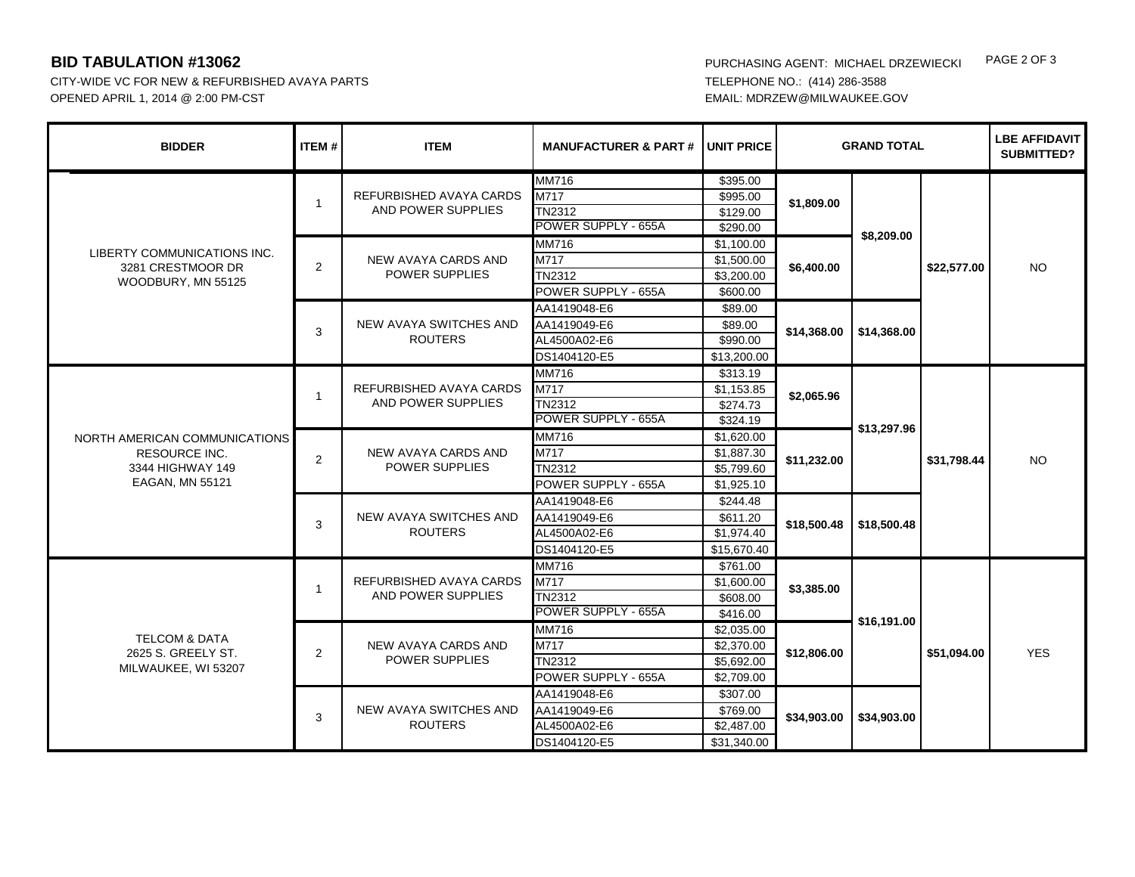CITY-WIDE VC FOR NEW & REFURBISHED AVAYA PARTS **TELEPHONE NO.: (414)** 286-3588 OPENED APRIL 1, 2014 @ 2:00 PM-CST EMAIL: MDRZEW@MILWAUKEE.GOV

**BID TABULATION #13062** PURCHASING AGENT: MICHAEL DRZEWIECKI PAGE 2 OF 3

| <b>BIDDER</b>                                                                                | <b>ITEM#</b>   | <b>ITEM</b>                                          | <b>MANUFACTURER &amp; PART#</b>                                    | UNIT PRICE                                           | <b>GRAND TOTAL</b> |                            |             | <b>LBE AFFIDAVIT</b><br><b>SUBMITTED?</b> |
|----------------------------------------------------------------------------------------------|----------------|------------------------------------------------------|--------------------------------------------------------------------|------------------------------------------------------|--------------------|----------------------------|-------------|-------------------------------------------|
| LIBERTY COMMUNICATIONS INC.<br>3281 CRESTMOOR DR<br>WOODBURY, MN 55125                       | $\mathbf{1}$   | REFURBISHED AVAYA CARDS<br>AND POWER SUPPLIES        | MM716<br>$\overline{M717}$<br><b>TN2312</b><br>POWER SUPPLY - 655A | \$395.00<br>\$995.00<br>\$129.00<br>\$290.00         | \$1,809.00         | \$8,209.00<br>\$14,368.00  | \$22,577.00 | <b>NO</b>                                 |
|                                                                                              | $\overline{2}$ | NEW AVAYA CARDS AND<br><b>POWER SUPPLIES</b>         | MM716<br>M717<br><b>TN2312</b><br>POWER SUPPLY - 655A              | \$1,100.00<br>\$1,500.00<br>\$3,200.00<br>\$600.00   | \$6,400.00         |                            |             |                                           |
|                                                                                              | 3              | NEW AVAYA SWITCHES AND<br><b>ROUTERS</b>             | AA1419048-E6<br>AA1419049-E6<br>AL4500A02-E6<br>DS1404120-E5       | \$89.00<br>\$89.00<br>\$990.00<br>\$13,200.00        | \$14,368.00        |                            |             |                                           |
| NORTH AMERICAN COMMUNICATIONS<br><b>RESOURCE INC.</b><br>3344 HIGHWAY 149<br>EAGAN, MN 55121 | $\overline{1}$ | REFURBISHED AVAYA CARDS<br>AND POWER SUPPLIES        | MM716<br>M717<br><b>TN2312</b><br>POWER SUPPLY - 655A              | \$313.19<br>\$1,153.85<br>\$274.73<br>\$324.19       | \$2,065.96         | \$13,297.96<br>\$18,500.48 | \$31,798.44 | <b>NO</b>                                 |
|                                                                                              | $\overline{2}$ | NEW AVAYA CARDS AND<br><b>POWER SUPPLIES</b>         | <b>MM716</b><br>M717<br><b>TN2312</b><br>POWER SUPPLY - 655A       | \$1,620.00<br>\$1,887.30<br>\$5,799.60<br>\$1,925.10 | \$11,232.00        |                            |             |                                           |
|                                                                                              | 3              | NEW AVAYA SWITCHES AND<br><b>ROUTERS</b>             | AA1419048-E6<br>AA1419049-E6<br>AL4500A02-E6<br>DS1404120-E5       | \$244.48<br>\$611.20<br>\$1.974.40<br>\$15,670.40    | \$18,500.48        |                            |             |                                           |
| <b>TELCOM &amp; DATA</b><br>2625 S. GREELY ST.<br>MILWAUKEE, WI 53207                        | $\overline{1}$ | <b>REFURBISHED AVAYA CARDS</b><br>AND POWER SUPPLIES | <b>MM716</b><br>M717<br><b>TN2312</b><br>POWER SUPPLY - 655A       | \$761.00<br>\$1,600.00<br>\$608.00<br>\$416.00       | \$3,385.00         | \$16,191.00<br>\$34,903.00 | \$51,094.00 | <b>YES</b>                                |
|                                                                                              | $\overline{2}$ | <b>NEW AVAYA CARDS AND</b><br><b>POWER SUPPLIES</b>  | <b>MM716</b><br>M717<br><b>TN2312</b><br>POWER SUPPLY - 655A       | \$2,035.00<br>\$2,370.00<br>\$5,692.00<br>\$2,709.00 | \$12,806.00        |                            |             |                                           |
|                                                                                              | 3              | NEW AVAYA SWITCHES AND<br><b>ROUTERS</b>             | AA1419048-E6<br>AA1419049-E6<br>AL4500A02-E6<br>DS1404120-E5       | \$307.00<br>\$769.00<br>\$2,487.00<br>\$31,340.00    | \$34,903.00        |                            |             |                                           |